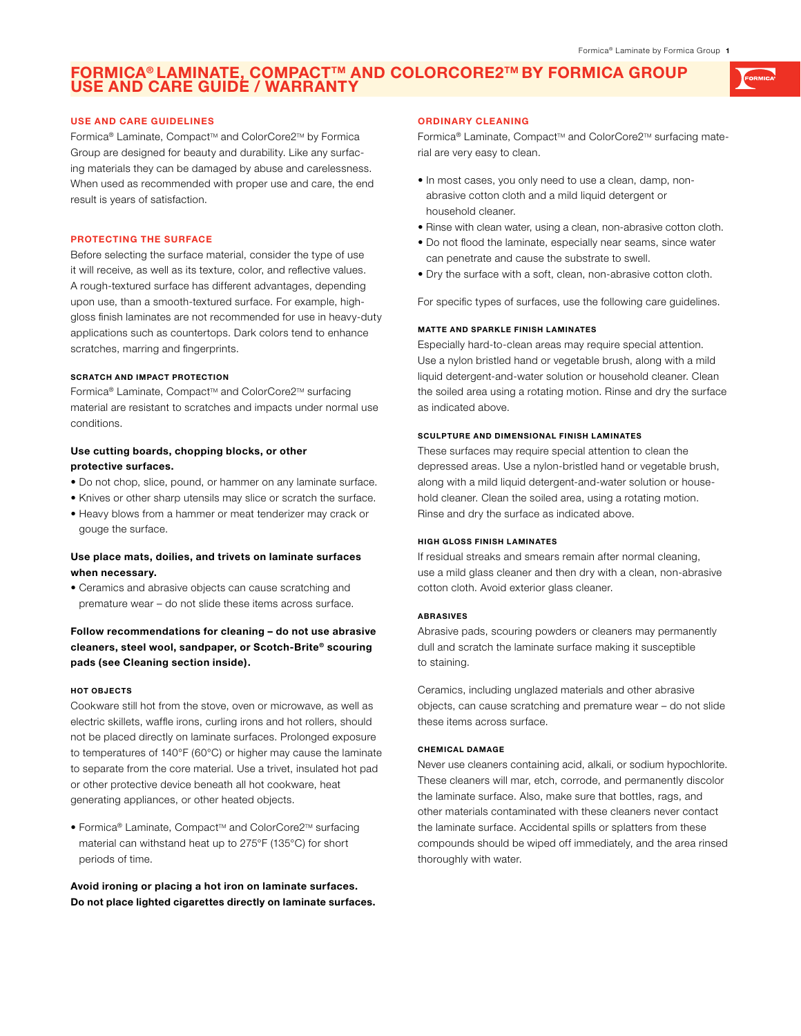# **Formica® Laminate, CompactTM and ColorCORE2TM by formica Group USE AND CARE GUIDÉ / WA**

### **USE AND CARE GUIDELINES**

Formica® Laminate, Compact™ and ColorCore2™ by Formica Group are designed for beauty and durability. Like any surfacing materials they can be damaged by abuse and carelessness. When used as recommended with proper use and care, the end result is years of satisfaction.

### **PROTECTING THE SURFACE**

Before selecting the surface material, consider the type of use it will receive, as well as its texture, color, and reflective values. A rough-textured surface has different advantages, depending upon use, than a smooth-textured surface. For example, highgloss finish laminates are not recommended for use in heavy-duty applications such as countertops. Dark colors tend to enhance scratches, marring and fingerprints.

### **Scratch and Impact Protection**

Formica® Laminate, Compact™ and ColorCore2™ surfacing material are resistant to scratches and impacts under normal use conditions.

# **Use cutting boards, chopping blocks, or other protective surfaces.**

- Do not chop, slice, pound, or hammer on any laminate surface.
- Knives or other sharp utensils may slice or scratch the surface.
- Heavy blows from a hammer or meat tenderizer may crack or gouge the surface.

# **Use place mats, doilies, and trivets on laminate surfaces when necessary.**

• Ceramics and abrasive objects can cause scratching and premature wear – do not slide these items across surface.

# **Follow recommendations for cleaning – do not use abrasive cleaners, steel wool, sandpaper, or Scotch-Brite® scouring pads (see Cleaning section inside).**

### **Hot Objects**

Cookware still hot from the stove, oven or microwave, as well as electric skillets, waffle irons, curling irons and hot rollers, should not be placed directly on laminate surfaces. Prolonged exposure to temperatures of 140°F (60°C) or higher may cause the laminate to separate from the core material. Use a trivet, insulated hot pad or other protective device beneath all hot cookware, heat generating appliances, or other heated objects.

• Formica® Laminate, Compact™ and ColorCore2™ surfacing material can withstand heat up to 275°F (135°C) for short periods of time.

**Avoid ironing or placing a hot iron on laminate surfaces. Do not place lighted cigarettes directly on laminate surfaces.**

### **ORDINARY CLEANING**

Formica® Laminate, Compact™ and ColorCore2™ surfacing material are very easy to clean.

- In most cases, you only need to use a clean, damp, nonabrasive cotton cloth and a mild liquid detergent or household cleaner.
- Rinse with clean water, using a clean, non-abrasive cotton cloth.
- Do not flood the laminate, especially near seams, since water can penetrate and cause the substrate to swell.
- Dry the surface with a soft, clean, non-abrasive cotton cloth.

For specific types of surfaces, use the following care guidelines.

### **Matte and Sparkle Finish Laminates**

Especially hard-to-clean areas may require special attention. Use a nylon bristled hand or vegetable brush, along with a mild liquid detergent-and-water solution or household cleaner. Clean the soiled area using a rotating motion. Rinse and dry the surface as indicated above.

### **Sculpture and Dimensional Finish Laminates**

These surfaces may require special attention to clean the depressed areas. Use a nylon-bristled hand or vegetable brush, along with a mild liquid detergent-and-water solution or household cleaner. Clean the soiled area, using a rotating motion. Rinse and dry the surface as indicated above.

#### **High Gloss Finish Laminates**

If residual streaks and smears remain after normal cleaning, use a mild glass cleaner and then dry with a clean, non-abrasive cotton cloth. Avoid exterior glass cleaner.

## **Abrasives**

Abrasive pads, scouring powders or cleaners may permanently dull and scratch the laminate surface making it susceptible to staining.

Ceramics, including unglazed materials and other abrasive objects, can cause scratching and premature wear – do not slide these items across surface.

# **Chemical Damage**

Never use cleaners containing acid, alkali, or sodium hypochlorite. These cleaners will mar, etch, corrode, and permanently discolor the laminate surface. Also, make sure that bottles, rags, and other materials contaminated with these cleaners never contact the laminate surface. Accidental spills or splatters from these compounds should be wiped off immediately, and the area rinsed thoroughly with water.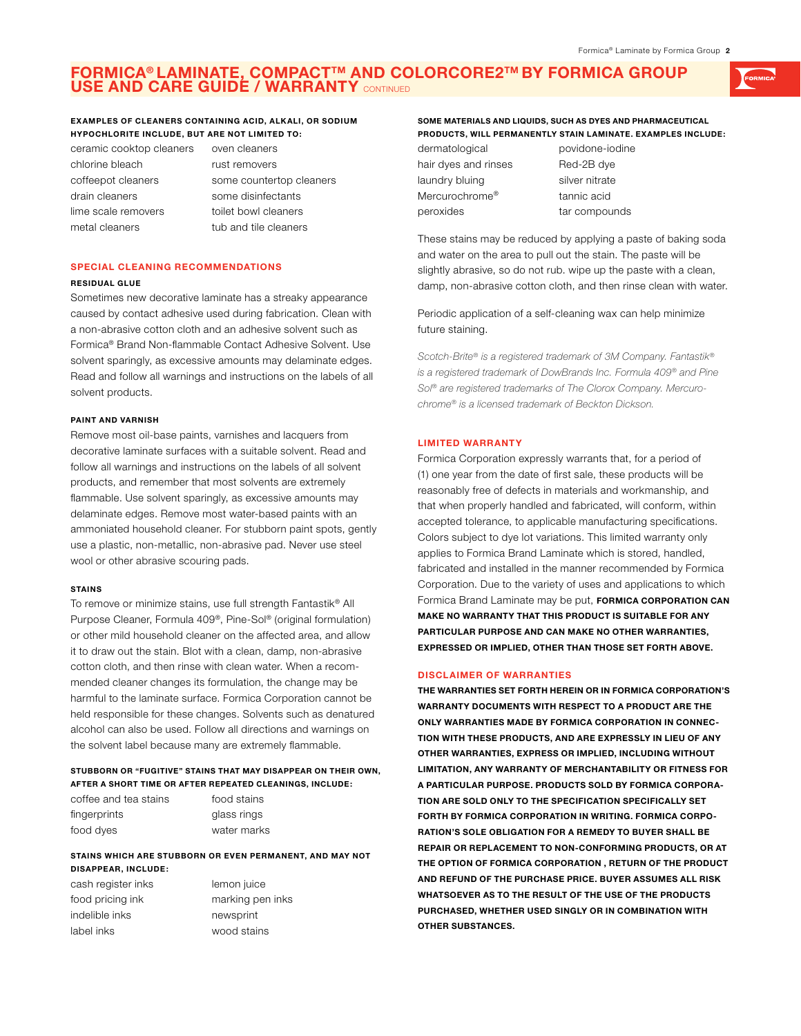# **Formica® Laminate, CompactTM and ColorCORE2TM by formica Group USE and Care Guide / Warranty** continued

## **Examples of cleaners containing acid, alkali, or sodium hypochlorite include, but are not limited to:**

ceramic cooktop cleaners oven cleaners chlorine bleach rust removers drain cleaners some disinfectants lime scale removers toilet bowl cleaners metal cleaners tub and tile cleaners

coffeepot cleaners some countertop cleaners

# **SPECIAL CLEANING RECOMMENDATIONS**

#### **Residual Glue**

Sometimes new decorative laminate has a streaky appearance caused by contact adhesive used during fabrication. Clean with a non-abrasive cotton cloth and an adhesive solvent such as Formica® Brand Non-flammable Contact Adhesive Solvent. Use solvent sparingly, as excessive amounts may delaminate edges. Read and follow all warnings and instructions on the labels of all solvent products.

### **Paint and Varnish**

Remove most oil-base paints, varnishes and lacquers from decorative laminate surfaces with a suitable solvent. Read and follow all warnings and instructions on the labels of all solvent products, and remember that most solvents are extremely flammable. Use solvent sparingly, as excessive amounts may delaminate edges. Remove most water-based paints with an ammoniated household cleaner. For stubborn paint spots, gently use a plastic, non-metallic, non-abrasive pad. Never use steel wool or other abrasive scouring pads.

#### **Stains**

To remove or minimize stains, use full strength Fantastik® All Purpose Cleaner, Formula 409®, Pine-Sol® (original formulation) or other mild household cleaner on the affected area, and allow it to draw out the stain. Blot with a clean, damp, non-abrasive cotton cloth, and then rinse with clean water. When a recommended cleaner changes its formulation, the change may be harmful to the laminate surface. Formica Corporation cannot be held responsible for these changes. Solvents such as denatured alcohol can also be used. Follow all directions and warnings on the solvent label because many are extremely flammable.

#### **Stubborn or "fugitive" stains that may disappear on their own, after a short time or after repeated cleanings, include:**

| coffee and tea stains | food stains |
|-----------------------|-------------|
| fingerprints          | glass rings |
| food dyes             | water marks |

# **Stains which are stubborn or even permanent, and may not disappear, include:**

cash register inks lemon juice food pricing ink marking pen inks indelible inks newsprint label inks wood stains

# **Some materials and liquids, such as dyes and pharmaceutical products, will permanently stain laminate. Examples include:**

| dermatological             | povidone-io    |
|----------------------------|----------------|
| hair dyes and rinses       | Red-2B dye     |
| laundry bluing             | silver nitrate |
| Mercurochrome <sup>®</sup> | tannic acid    |
| peroxides                  | tar compour    |

e-iodine ounds

These stains may be reduced by applying a paste of baking soda and water on the area to pull out the stain. The paste will be slightly abrasive, so do not rub. wipe up the paste with a clean, damp, non-abrasive cotton cloth, and then rinse clean with water.

Periodic application of a self-cleaning wax can help minimize future staining.

*Scotch-Brite® is a registered trademark of 3M Company. Fantastik® is a registered trademark of DowBrands Inc. Formula 409® and Pine Sol® are registered trademarks of The Clorox Company. Mercurochrome® is a licensed trademark of Beckton Dickson.*

#### **LIMITED WARRANTY**

Formica Corporation expressly warrants that, for a period of (1) one year from the date of first sale, these products will be reasonably free of defects in materials and workmanship, and that when properly handled and fabricated, will conform, within accepted tolerance, to applicable manufacturing specifications. Colors subject to dye lot variations. This limited warranty only applies to Formica Brand Laminate which is stored, handled, fabricated and installed in the manner recommended by Formica Corporation. Due to the variety of uses and applications to which Formica Brand Laminate may be put, **Formica Corporation can make no warranty that this product is suitable for any particular purpose and can make no other warranties, expressed or implied, other than those set forth above.**

#### **DISCLAIMER OF WARRANTIES**

**THE WARRANTIES SET FORTH HEREIN OR IN FORMICA CORPORATION'S WARRANTY DOCUMENTS WITH RESPECT TO A PRODUCT ARE THE ONLY WARRANTIES MADE BY FORMICA CORPORATION IN CONNEC-TION WITH THESE PRODUCTS, AND ARE EXPRESSLY IN LIEU OF ANY OTHER WARRANTIES, EXPRESS OR IMPLIED, INCLUDING WITHOUT LIMITATION, ANY WARRANTY OF MERCHANTABILITY OR FITNESS FOR A PARTICULAR PURPOSE. PRODUCTS SOLD BY FORMICA CORPORA-TION ARE SOLD ONLY TO THE SPECIFICATION SPECIFICALLY SET FORTH BY FORMICA CORPORATION IN WRITING. FORMICA CORPO-RATION'S SOLE OBLIGATION FOR A REMEDY TO BUYER SHALL BE REPAIR OR REPLACEMENT TO NON-CONFORMING PRODUCTS, OR AT THE OPTION OF FORMICA CORPORATION , RETURN OF THE PRODUCT AND REFUND OF THE PURCHASE PRICE. BUYER ASSUMES ALL RISK WHATSOEVER AS TO THE RESULT OF THE USE OF THE PRODUCTS PURCHASED, WHETHER USED SINGLY OR IN COMBINATION WITH OTHER SUBSTANCES.**